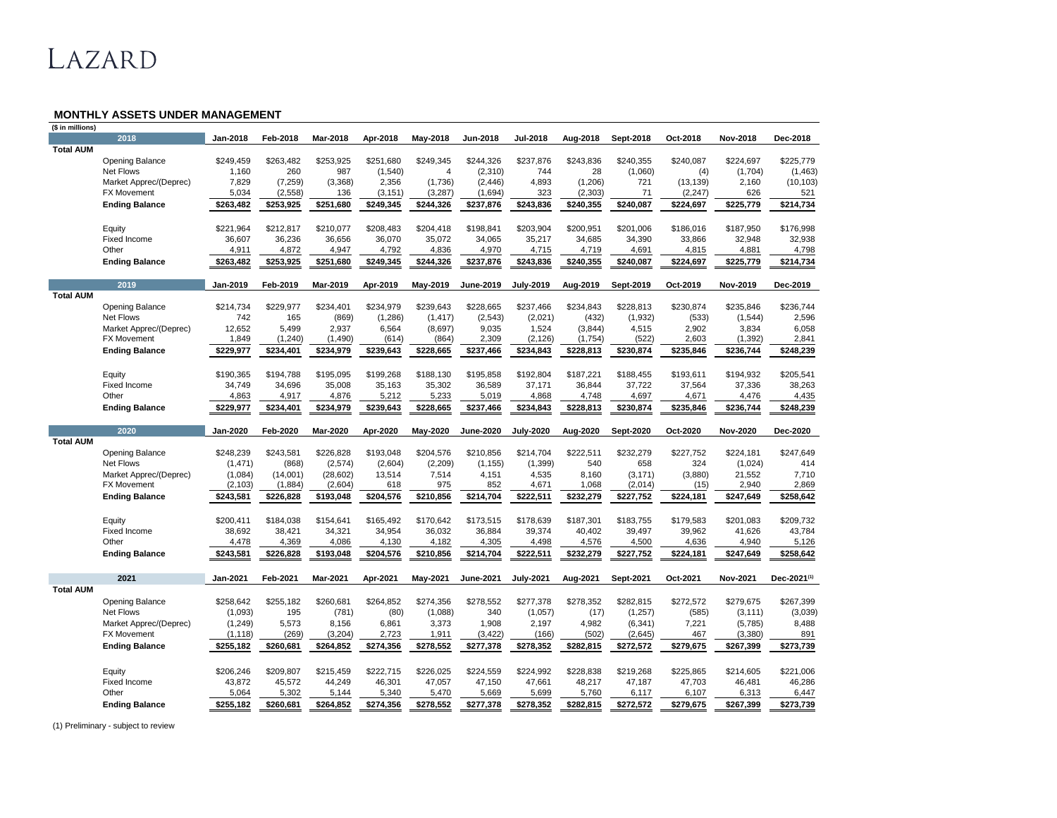## LAZARD

## **MONTHLY ASSETS UNDER MANAGEMENT**

| 2018<br><b>Jan-2018</b><br><b>Mar-2018</b><br><b>Aug-2018</b><br>Oct-2018<br><b>Nov-2018</b><br><b>Feb-2018</b><br>Apr-2018<br><b>May-2018</b><br><b>Jun-2018</b><br><b>Jul-2018</b><br><b>Sept-2018</b><br><b>Dec-2018</b><br><b>Total AUM</b><br>\$263,482<br>\$253,925<br>\$251,680<br>\$249,345<br>\$244,326<br>\$237,876<br>\$243,836<br>\$240,355<br>\$240,087<br>\$225,779<br><b>Opening Balance</b><br>\$249,459<br>\$224,697<br>987<br><b>Net Flows</b><br>1,160<br>260<br>(1,540)<br>(2,310)<br>744<br>28<br>(1,060)<br>(1,704)<br>(1,463)<br>(4)<br>4<br>Market Apprec/(Deprec)<br>7,829<br>(7,259)<br>(3,368)<br>2,356<br>(1,736)<br>(2, 446)<br>4,893<br>(1,206)<br>721<br>(13, 139)<br>2,160<br>(10, 103)<br>323<br>71<br>5,034<br>(2, 558)<br>(3, 151)<br>(3,287)<br>(1,694)<br>(2, 303)<br>(2, 247)<br>626<br>521<br><b>FX Movement</b><br>136<br>\$214,734<br>\$253,925<br>\$251,680<br>\$249,345<br>\$244,326<br>\$237,876<br>\$243,836<br>\$240,355<br>\$240,087<br>\$224,697<br>\$225,779<br><b>Ending Balance</b><br>\$263,482<br>\$198,841<br>\$200,951<br>\$176,998<br>\$221,964<br>\$212,817<br>\$210,077<br>\$208,483<br>\$204,418<br>\$203,904<br>\$201,006<br>\$186,016<br>\$187,950<br>Equity<br>36,236<br>32,938<br><b>Fixed Income</b><br>36,607<br>36,656<br>36,070<br>35,072<br>34,065<br>35,217<br>34,685<br>34,390<br>33,866<br>32,948<br>4,872<br>4,792<br>4,715<br>4,798<br>Other<br>4,911<br>4,947<br>4,836<br>4,970<br>4,719<br>4,691<br>4,815<br>4,881<br>\$253,925<br>\$251,680<br>\$249,345<br>\$244,326<br>\$243,836<br>\$240,355<br>\$240,087<br>\$224,697<br>\$225,779<br>\$214,734<br><b>Ending Balance</b><br>\$263,482<br>\$237,876<br>2019<br><b>Jan-2019</b><br><b>Feb-2019</b><br><b>Mar-2019</b><br>Apr-2019<br><b>May-2019</b><br><b>June-2019</b><br><b>July-2019</b><br>Aug-2019<br>Oct-2019<br><b>Nov-2019</b><br><b>Dec-2019</b><br><b>Sept-2019</b><br><b>Total AUM</b><br>\$214,734<br>\$229,977<br>\$234,401<br>\$234,979<br>\$239,643<br>\$228,665<br>\$237,466<br>\$228,813<br>\$230,874<br>\$236,744<br><b>Opening Balance</b><br>\$234,843<br>\$235,846<br><b>Net Flows</b><br>742<br>165<br>(869)<br>(1,286)<br>(1, 417)<br>(2,021)<br>2,596<br>(2, 543)<br>(432)<br>(1,932)<br>(533)<br>(1, 544)<br>6,058<br>12,652<br>5,499<br>2,937<br>6,564<br>(8,697)<br>1,524<br>2,902<br>3,834<br>Market Apprec/(Deprec)<br>9,035<br>(3,844)<br>4,515<br>(522)<br>2,841<br>1,849<br>(1, 240)<br>(1, 490)<br>(614)<br>(864)<br>2,309<br>(2, 126)<br>(1,754)<br>2,603<br>(1, 392)<br><b>FX Movement</b><br>\$234,401<br>\$234,979<br>\$228,665<br>\$234,843<br>\$228,813<br>\$230,874<br><b>Ending Balance</b><br>\$229,977<br>\$239,643<br>\$237,466<br>\$235,846<br>\$236,744<br>\$248,239<br>\$190,365<br>\$194,788<br>\$195,095<br>\$199,268<br>\$188,130<br>\$195,858<br>\$192,804<br>\$187,221<br>\$193,611<br>\$205,541<br>\$188,455<br>\$194,932<br>Equity<br>34,696<br>35,008<br>36,589<br>37,722<br>37,336<br>38,263<br><b>Fixed Income</b><br>34,749<br>35,163<br>35,302<br>37,171<br>36,844<br>37,564<br>Other<br>4,863<br>4,917<br>4,876<br>5,212<br>5,233<br>5,019<br>4,868<br>4,748<br>4,697<br>4,671<br>4,476<br>4,435<br>\$234,843<br>\$234,401<br>\$234,979<br>\$239,643<br>\$228,665<br>\$237,466<br>\$228,813<br>\$230,874<br>\$235,846<br>\$236,744<br>\$248,239<br>\$229,977<br><b>Ending Balance</b><br>2020<br><b>Jan-2020</b><br><b>Feb-2020</b><br><b>Mar-2020</b><br><b>Oct-2020</b><br>Apr-2020<br><b>May-2020</b><br><b>June-2020</b><br><b>July-2020</b><br>Aug-2020<br><b>Sept-2020</b><br><b>Nov-2020</b><br><b>Dec-2020</b><br><b>Total AUM</b><br>\$248,239<br>\$226,828<br>\$214,704<br>\$222,511<br>\$232,279<br>\$227,752<br>\$247,649<br><b>Opening Balance</b><br>\$243,581<br>\$193,048<br>\$204,576<br>\$210,856<br>\$224,181<br>414<br><b>Net Flows</b><br>(1, 471)<br>(868)<br>(2,574)<br>(2,209)<br>658<br>324<br>(2,604)<br>(1, 155)<br>(1,399)<br>540<br>(1,024)<br>7,710<br>Market Apprec/(Deprec)<br>(14,001)<br>13,514<br>7,514<br>4,151<br>4,535<br>8,160<br>(3, 171)<br>(3,880)<br>21,552<br>(1,084)<br>(28,602)<br>975<br>4,671<br>2,940<br>2,869<br><b>FX Movement</b><br>(2, 103)<br>(2,604)<br>618<br>852<br>1,068<br>(2,014)<br>(1,884)<br>(15)<br>\$226,828<br>\$204,576<br>\$210,856<br>\$214,704<br>\$222,511<br>\$232,279<br>\$227,752<br>\$224,181<br>\$247,649<br>\$258,642<br><b>Ending Balance</b><br>\$243,581<br>\$193,048<br>\$200,411<br>\$184,038<br>\$165,492<br>\$170,642<br>\$173,515<br>\$187,301<br>\$183,755<br>\$179,583<br>\$209,732<br>\$154,641<br>\$178,639<br>\$201,083<br>Equity<br>38,692<br>39,962<br>43,784<br>Fixed Income<br>38,421<br>34,321<br>34,954<br>36,032<br>36,884<br>39,374<br>40,402<br>39,497<br>41,626<br>4,369<br>5,126<br>Other<br>4,478<br>4,086<br>4,130<br>4,182<br>4,305<br>4,498<br>4,576<br>4,500<br>4,636<br>4,940<br>\$222,511<br>\$227,752<br>\$247,649<br>\$243,581<br>\$226,828<br>\$193,048<br>\$204,576<br>\$210,856<br>\$214,704<br>\$232,279<br>\$224,181<br>\$258,642<br><b>Ending Balance</b><br>2021<br>Feb-2021<br><b>Mar-2021</b><br><b>Nov-2021</b><br>Dec-2021 <sup>(1)</sup><br><b>Jan-2021</b><br>Apr-2021<br><b>May-2021</b><br><b>June-2021</b><br><b>July-2021</b><br>Aug-2021<br><b>Sept-2021</b><br>Oct-2021<br><b>Total AUM</b><br>\$267,399<br>\$255,182<br>\$260,681<br>\$274,356<br>\$278,552<br>\$277,378<br>\$278,352<br>\$282,815<br>\$272,572<br>\$279,675<br><b>Opening Balance</b><br>\$258,642<br>\$264,852<br>(781)<br><b>Net Flows</b><br>(1,093)<br>195<br>(80)<br>(1,088)<br>340<br>(1,057)<br>(17)<br>(1,257)<br>(3, 111)<br>(3,039)<br>(585)<br>3,373<br>2,197<br>8,488<br>Market Apprec/(Deprec)<br>5,573<br>6,861<br>1,908<br>(6, 341)<br>(5,785)<br>(1,249)<br>8,156<br>4,982<br>7,221 |
|----------------------------------------------------------------------------------------------------------------------------------------------------------------------------------------------------------------------------------------------------------------------------------------------------------------------------------------------------------------------------------------------------------------------------------------------------------------------------------------------------------------------------------------------------------------------------------------------------------------------------------------------------------------------------------------------------------------------------------------------------------------------------------------------------------------------------------------------------------------------------------------------------------------------------------------------------------------------------------------------------------------------------------------------------------------------------------------------------------------------------------------------------------------------------------------------------------------------------------------------------------------------------------------------------------------------------------------------------------------------------------------------------------------------------------------------------------------------------------------------------------------------------------------------------------------------------------------------------------------------------------------------------------------------------------------------------------------------------------------------------------------------------------------------------------------------------------------------------------------------------------------------------------------------------------------------------------------------------------------------------------------------------------------------------------------------------------------------------------------------------------------------------------------------------------------------------------------------------------------------------------------------------------------------------------------------------------------------------------------------------------------------------------------------------------------------------------------------------------------------------------------------------------------------------------------------------------------------------------------------------------------------------------------------------------------------------------------------------------------------------------------------------------------------------------------------------------------------------------------------------------------------------------------------------------------------------------------------------------------------------------------------------------------------------------------------------------------------------------------------------------------------------------------------------------------------------------------------------------------------------------------------------------------------------------------------------------------------------------------------------------------------------------------------------------------------------------------------------------------------------------------------------------------------------------------------------------------------------------------------------------------------------------------------------------------------------------------------------------------------------------------------------------------------------------------------------------------------------------------------------------------------------------------------------------------------------------------------------------------------------------------------------------------------------------------------------------------------------------------------------------------------------------------------------------------------------------------------------------------------------------------------------------------------------------------------------------------------------------------------------------------------------------------------------------------------------------------------------------------------------------------------------------------------------------------------------------------------------------------------------------------------------------------------------------------------------------------------------------------------------------------------------------------------------------------------------------------------------------------------------------------------------------------------------------------------------------------------------------------------------------------------------------------------------------------------------------------------------------------------------------------------------------------------------------------------------------------------------------------------------------------------------------------------------------------------------------------------------------------------------------------------------------------------------------------------------------------------------------------------------------------------------------------------------------------------------------------------------------------------------------------------------------------------------------------------------------------------------------------------------------------------------------------------------|
|                                                                                                                                                                                                                                                                                                                                                                                                                                                                                                                                                                                                                                                                                                                                                                                                                                                                                                                                                                                                                                                                                                                                                                                                                                                                                                                                                                                                                                                                                                                                                                                                                                                                                                                                                                                                                                                                                                                                                                                                                                                                                                                                                                                                                                                                                                                                                                                                                                                                                                                                                                                                                                                                                                                                                                                                                                                                                                                                                                                                                                                                                                                                                                                                                                                                                                                                                                                                                                                                                                                                                                                                                                                                                                                                                                                                                                                                                                                                                                                                                                                                                                                                                                                                                                                                                                                                                                                                                                                                                                                                                                                                                                                                                                                                                                                                                                                                                                                                                                                                                                                                                                                                                                                                                                                                                                                                                                                                                                                                                                                                                                                                                                                                                                                                                                                                    |
|                                                                                                                                                                                                                                                                                                                                                                                                                                                                                                                                                                                                                                                                                                                                                                                                                                                                                                                                                                                                                                                                                                                                                                                                                                                                                                                                                                                                                                                                                                                                                                                                                                                                                                                                                                                                                                                                                                                                                                                                                                                                                                                                                                                                                                                                                                                                                                                                                                                                                                                                                                                                                                                                                                                                                                                                                                                                                                                                                                                                                                                                                                                                                                                                                                                                                                                                                                                                                                                                                                                                                                                                                                                                                                                                                                                                                                                                                                                                                                                                                                                                                                                                                                                                                                                                                                                                                                                                                                                                                                                                                                                                                                                                                                                                                                                                                                                                                                                                                                                                                                                                                                                                                                                                                                                                                                                                                                                                                                                                                                                                                                                                                                                                                                                                                                                                    |
|                                                                                                                                                                                                                                                                                                                                                                                                                                                                                                                                                                                                                                                                                                                                                                                                                                                                                                                                                                                                                                                                                                                                                                                                                                                                                                                                                                                                                                                                                                                                                                                                                                                                                                                                                                                                                                                                                                                                                                                                                                                                                                                                                                                                                                                                                                                                                                                                                                                                                                                                                                                                                                                                                                                                                                                                                                                                                                                                                                                                                                                                                                                                                                                                                                                                                                                                                                                                                                                                                                                                                                                                                                                                                                                                                                                                                                                                                                                                                                                                                                                                                                                                                                                                                                                                                                                                                                                                                                                                                                                                                                                                                                                                                                                                                                                                                                                                                                                                                                                                                                                                                                                                                                                                                                                                                                                                                                                                                                                                                                                                                                                                                                                                                                                                                                                                    |
|                                                                                                                                                                                                                                                                                                                                                                                                                                                                                                                                                                                                                                                                                                                                                                                                                                                                                                                                                                                                                                                                                                                                                                                                                                                                                                                                                                                                                                                                                                                                                                                                                                                                                                                                                                                                                                                                                                                                                                                                                                                                                                                                                                                                                                                                                                                                                                                                                                                                                                                                                                                                                                                                                                                                                                                                                                                                                                                                                                                                                                                                                                                                                                                                                                                                                                                                                                                                                                                                                                                                                                                                                                                                                                                                                                                                                                                                                                                                                                                                                                                                                                                                                                                                                                                                                                                                                                                                                                                                                                                                                                                                                                                                                                                                                                                                                                                                                                                                                                                                                                                                                                                                                                                                                                                                                                                                                                                                                                                                                                                                                                                                                                                                                                                                                                                                    |
|                                                                                                                                                                                                                                                                                                                                                                                                                                                                                                                                                                                                                                                                                                                                                                                                                                                                                                                                                                                                                                                                                                                                                                                                                                                                                                                                                                                                                                                                                                                                                                                                                                                                                                                                                                                                                                                                                                                                                                                                                                                                                                                                                                                                                                                                                                                                                                                                                                                                                                                                                                                                                                                                                                                                                                                                                                                                                                                                                                                                                                                                                                                                                                                                                                                                                                                                                                                                                                                                                                                                                                                                                                                                                                                                                                                                                                                                                                                                                                                                                                                                                                                                                                                                                                                                                                                                                                                                                                                                                                                                                                                                                                                                                                                                                                                                                                                                                                                                                                                                                                                                                                                                                                                                                                                                                                                                                                                                                                                                                                                                                                                                                                                                                                                                                                                                    |
|                                                                                                                                                                                                                                                                                                                                                                                                                                                                                                                                                                                                                                                                                                                                                                                                                                                                                                                                                                                                                                                                                                                                                                                                                                                                                                                                                                                                                                                                                                                                                                                                                                                                                                                                                                                                                                                                                                                                                                                                                                                                                                                                                                                                                                                                                                                                                                                                                                                                                                                                                                                                                                                                                                                                                                                                                                                                                                                                                                                                                                                                                                                                                                                                                                                                                                                                                                                                                                                                                                                                                                                                                                                                                                                                                                                                                                                                                                                                                                                                                                                                                                                                                                                                                                                                                                                                                                                                                                                                                                                                                                                                                                                                                                                                                                                                                                                                                                                                                                                                                                                                                                                                                                                                                                                                                                                                                                                                                                                                                                                                                                                                                                                                                                                                                                                                    |
|                                                                                                                                                                                                                                                                                                                                                                                                                                                                                                                                                                                                                                                                                                                                                                                                                                                                                                                                                                                                                                                                                                                                                                                                                                                                                                                                                                                                                                                                                                                                                                                                                                                                                                                                                                                                                                                                                                                                                                                                                                                                                                                                                                                                                                                                                                                                                                                                                                                                                                                                                                                                                                                                                                                                                                                                                                                                                                                                                                                                                                                                                                                                                                                                                                                                                                                                                                                                                                                                                                                                                                                                                                                                                                                                                                                                                                                                                                                                                                                                                                                                                                                                                                                                                                                                                                                                                                                                                                                                                                                                                                                                                                                                                                                                                                                                                                                                                                                                                                                                                                                                                                                                                                                                                                                                                                                                                                                                                                                                                                                                                                                                                                                                                                                                                                                                    |
|                                                                                                                                                                                                                                                                                                                                                                                                                                                                                                                                                                                                                                                                                                                                                                                                                                                                                                                                                                                                                                                                                                                                                                                                                                                                                                                                                                                                                                                                                                                                                                                                                                                                                                                                                                                                                                                                                                                                                                                                                                                                                                                                                                                                                                                                                                                                                                                                                                                                                                                                                                                                                                                                                                                                                                                                                                                                                                                                                                                                                                                                                                                                                                                                                                                                                                                                                                                                                                                                                                                                                                                                                                                                                                                                                                                                                                                                                                                                                                                                                                                                                                                                                                                                                                                                                                                                                                                                                                                                                                                                                                                                                                                                                                                                                                                                                                                                                                                                                                                                                                                                                                                                                                                                                                                                                                                                                                                                                                                                                                                                                                                                                                                                                                                                                                                                    |
|                                                                                                                                                                                                                                                                                                                                                                                                                                                                                                                                                                                                                                                                                                                                                                                                                                                                                                                                                                                                                                                                                                                                                                                                                                                                                                                                                                                                                                                                                                                                                                                                                                                                                                                                                                                                                                                                                                                                                                                                                                                                                                                                                                                                                                                                                                                                                                                                                                                                                                                                                                                                                                                                                                                                                                                                                                                                                                                                                                                                                                                                                                                                                                                                                                                                                                                                                                                                                                                                                                                                                                                                                                                                                                                                                                                                                                                                                                                                                                                                                                                                                                                                                                                                                                                                                                                                                                                                                                                                                                                                                                                                                                                                                                                                                                                                                                                                                                                                                                                                                                                                                                                                                                                                                                                                                                                                                                                                                                                                                                                                                                                                                                                                                                                                                                                                    |
|                                                                                                                                                                                                                                                                                                                                                                                                                                                                                                                                                                                                                                                                                                                                                                                                                                                                                                                                                                                                                                                                                                                                                                                                                                                                                                                                                                                                                                                                                                                                                                                                                                                                                                                                                                                                                                                                                                                                                                                                                                                                                                                                                                                                                                                                                                                                                                                                                                                                                                                                                                                                                                                                                                                                                                                                                                                                                                                                                                                                                                                                                                                                                                                                                                                                                                                                                                                                                                                                                                                                                                                                                                                                                                                                                                                                                                                                                                                                                                                                                                                                                                                                                                                                                                                                                                                                                                                                                                                                                                                                                                                                                                                                                                                                                                                                                                                                                                                                                                                                                                                                                                                                                                                                                                                                                                                                                                                                                                                                                                                                                                                                                                                                                                                                                                                                    |
|                                                                                                                                                                                                                                                                                                                                                                                                                                                                                                                                                                                                                                                                                                                                                                                                                                                                                                                                                                                                                                                                                                                                                                                                                                                                                                                                                                                                                                                                                                                                                                                                                                                                                                                                                                                                                                                                                                                                                                                                                                                                                                                                                                                                                                                                                                                                                                                                                                                                                                                                                                                                                                                                                                                                                                                                                                                                                                                                                                                                                                                                                                                                                                                                                                                                                                                                                                                                                                                                                                                                                                                                                                                                                                                                                                                                                                                                                                                                                                                                                                                                                                                                                                                                                                                                                                                                                                                                                                                                                                                                                                                                                                                                                                                                                                                                                                                                                                                                                                                                                                                                                                                                                                                                                                                                                                                                                                                                                                                                                                                                                                                                                                                                                                                                                                                                    |
|                                                                                                                                                                                                                                                                                                                                                                                                                                                                                                                                                                                                                                                                                                                                                                                                                                                                                                                                                                                                                                                                                                                                                                                                                                                                                                                                                                                                                                                                                                                                                                                                                                                                                                                                                                                                                                                                                                                                                                                                                                                                                                                                                                                                                                                                                                                                                                                                                                                                                                                                                                                                                                                                                                                                                                                                                                                                                                                                                                                                                                                                                                                                                                                                                                                                                                                                                                                                                                                                                                                                                                                                                                                                                                                                                                                                                                                                                                                                                                                                                                                                                                                                                                                                                                                                                                                                                                                                                                                                                                                                                                                                                                                                                                                                                                                                                                                                                                                                                                                                                                                                                                                                                                                                                                                                                                                                                                                                                                                                                                                                                                                                                                                                                                                                                                                                    |
|                                                                                                                                                                                                                                                                                                                                                                                                                                                                                                                                                                                                                                                                                                                                                                                                                                                                                                                                                                                                                                                                                                                                                                                                                                                                                                                                                                                                                                                                                                                                                                                                                                                                                                                                                                                                                                                                                                                                                                                                                                                                                                                                                                                                                                                                                                                                                                                                                                                                                                                                                                                                                                                                                                                                                                                                                                                                                                                                                                                                                                                                                                                                                                                                                                                                                                                                                                                                                                                                                                                                                                                                                                                                                                                                                                                                                                                                                                                                                                                                                                                                                                                                                                                                                                                                                                                                                                                                                                                                                                                                                                                                                                                                                                                                                                                                                                                                                                                                                                                                                                                                                                                                                                                                                                                                                                                                                                                                                                                                                                                                                                                                                                                                                                                                                                                                    |
|                                                                                                                                                                                                                                                                                                                                                                                                                                                                                                                                                                                                                                                                                                                                                                                                                                                                                                                                                                                                                                                                                                                                                                                                                                                                                                                                                                                                                                                                                                                                                                                                                                                                                                                                                                                                                                                                                                                                                                                                                                                                                                                                                                                                                                                                                                                                                                                                                                                                                                                                                                                                                                                                                                                                                                                                                                                                                                                                                                                                                                                                                                                                                                                                                                                                                                                                                                                                                                                                                                                                                                                                                                                                                                                                                                                                                                                                                                                                                                                                                                                                                                                                                                                                                                                                                                                                                                                                                                                                                                                                                                                                                                                                                                                                                                                                                                                                                                                                                                                                                                                                                                                                                                                                                                                                                                                                                                                                                                                                                                                                                                                                                                                                                                                                                                                                    |
|                                                                                                                                                                                                                                                                                                                                                                                                                                                                                                                                                                                                                                                                                                                                                                                                                                                                                                                                                                                                                                                                                                                                                                                                                                                                                                                                                                                                                                                                                                                                                                                                                                                                                                                                                                                                                                                                                                                                                                                                                                                                                                                                                                                                                                                                                                                                                                                                                                                                                                                                                                                                                                                                                                                                                                                                                                                                                                                                                                                                                                                                                                                                                                                                                                                                                                                                                                                                                                                                                                                                                                                                                                                                                                                                                                                                                                                                                                                                                                                                                                                                                                                                                                                                                                                                                                                                                                                                                                                                                                                                                                                                                                                                                                                                                                                                                                                                                                                                                                                                                                                                                                                                                                                                                                                                                                                                                                                                                                                                                                                                                                                                                                                                                                                                                                                                    |
|                                                                                                                                                                                                                                                                                                                                                                                                                                                                                                                                                                                                                                                                                                                                                                                                                                                                                                                                                                                                                                                                                                                                                                                                                                                                                                                                                                                                                                                                                                                                                                                                                                                                                                                                                                                                                                                                                                                                                                                                                                                                                                                                                                                                                                                                                                                                                                                                                                                                                                                                                                                                                                                                                                                                                                                                                                                                                                                                                                                                                                                                                                                                                                                                                                                                                                                                                                                                                                                                                                                                                                                                                                                                                                                                                                                                                                                                                                                                                                                                                                                                                                                                                                                                                                                                                                                                                                                                                                                                                                                                                                                                                                                                                                                                                                                                                                                                                                                                                                                                                                                                                                                                                                                                                                                                                                                                                                                                                                                                                                                                                                                                                                                                                                                                                                                                    |
|                                                                                                                                                                                                                                                                                                                                                                                                                                                                                                                                                                                                                                                                                                                                                                                                                                                                                                                                                                                                                                                                                                                                                                                                                                                                                                                                                                                                                                                                                                                                                                                                                                                                                                                                                                                                                                                                                                                                                                                                                                                                                                                                                                                                                                                                                                                                                                                                                                                                                                                                                                                                                                                                                                                                                                                                                                                                                                                                                                                                                                                                                                                                                                                                                                                                                                                                                                                                                                                                                                                                                                                                                                                                                                                                                                                                                                                                                                                                                                                                                                                                                                                                                                                                                                                                                                                                                                                                                                                                                                                                                                                                                                                                                                                                                                                                                                                                                                                                                                                                                                                                                                                                                                                                                                                                                                                                                                                                                                                                                                                                                                                                                                                                                                                                                                                                    |
|                                                                                                                                                                                                                                                                                                                                                                                                                                                                                                                                                                                                                                                                                                                                                                                                                                                                                                                                                                                                                                                                                                                                                                                                                                                                                                                                                                                                                                                                                                                                                                                                                                                                                                                                                                                                                                                                                                                                                                                                                                                                                                                                                                                                                                                                                                                                                                                                                                                                                                                                                                                                                                                                                                                                                                                                                                                                                                                                                                                                                                                                                                                                                                                                                                                                                                                                                                                                                                                                                                                                                                                                                                                                                                                                                                                                                                                                                                                                                                                                                                                                                                                                                                                                                                                                                                                                                                                                                                                                                                                                                                                                                                                                                                                                                                                                                                                                                                                                                                                                                                                                                                                                                                                                                                                                                                                                                                                                                                                                                                                                                                                                                                                                                                                                                                                                    |
|                                                                                                                                                                                                                                                                                                                                                                                                                                                                                                                                                                                                                                                                                                                                                                                                                                                                                                                                                                                                                                                                                                                                                                                                                                                                                                                                                                                                                                                                                                                                                                                                                                                                                                                                                                                                                                                                                                                                                                                                                                                                                                                                                                                                                                                                                                                                                                                                                                                                                                                                                                                                                                                                                                                                                                                                                                                                                                                                                                                                                                                                                                                                                                                                                                                                                                                                                                                                                                                                                                                                                                                                                                                                                                                                                                                                                                                                                                                                                                                                                                                                                                                                                                                                                                                                                                                                                                                                                                                                                                                                                                                                                                                                                                                                                                                                                                                                                                                                                                                                                                                                                                                                                                                                                                                                                                                                                                                                                                                                                                                                                                                                                                                                                                                                                                                                    |
|                                                                                                                                                                                                                                                                                                                                                                                                                                                                                                                                                                                                                                                                                                                                                                                                                                                                                                                                                                                                                                                                                                                                                                                                                                                                                                                                                                                                                                                                                                                                                                                                                                                                                                                                                                                                                                                                                                                                                                                                                                                                                                                                                                                                                                                                                                                                                                                                                                                                                                                                                                                                                                                                                                                                                                                                                                                                                                                                                                                                                                                                                                                                                                                                                                                                                                                                                                                                                                                                                                                                                                                                                                                                                                                                                                                                                                                                                                                                                                                                                                                                                                                                                                                                                                                                                                                                                                                                                                                                                                                                                                                                                                                                                                                                                                                                                                                                                                                                                                                                                                                                                                                                                                                                                                                                                                                                                                                                                                                                                                                                                                                                                                                                                                                                                                                                    |
|                                                                                                                                                                                                                                                                                                                                                                                                                                                                                                                                                                                                                                                                                                                                                                                                                                                                                                                                                                                                                                                                                                                                                                                                                                                                                                                                                                                                                                                                                                                                                                                                                                                                                                                                                                                                                                                                                                                                                                                                                                                                                                                                                                                                                                                                                                                                                                                                                                                                                                                                                                                                                                                                                                                                                                                                                                                                                                                                                                                                                                                                                                                                                                                                                                                                                                                                                                                                                                                                                                                                                                                                                                                                                                                                                                                                                                                                                                                                                                                                                                                                                                                                                                                                                                                                                                                                                                                                                                                                                                                                                                                                                                                                                                                                                                                                                                                                                                                                                                                                                                                                                                                                                                                                                                                                                                                                                                                                                                                                                                                                                                                                                                                                                                                                                                                                    |
|                                                                                                                                                                                                                                                                                                                                                                                                                                                                                                                                                                                                                                                                                                                                                                                                                                                                                                                                                                                                                                                                                                                                                                                                                                                                                                                                                                                                                                                                                                                                                                                                                                                                                                                                                                                                                                                                                                                                                                                                                                                                                                                                                                                                                                                                                                                                                                                                                                                                                                                                                                                                                                                                                                                                                                                                                                                                                                                                                                                                                                                                                                                                                                                                                                                                                                                                                                                                                                                                                                                                                                                                                                                                                                                                                                                                                                                                                                                                                                                                                                                                                                                                                                                                                                                                                                                                                                                                                                                                                                                                                                                                                                                                                                                                                                                                                                                                                                                                                                                                                                                                                                                                                                                                                                                                                                                                                                                                                                                                                                                                                                                                                                                                                                                                                                                                    |
|                                                                                                                                                                                                                                                                                                                                                                                                                                                                                                                                                                                                                                                                                                                                                                                                                                                                                                                                                                                                                                                                                                                                                                                                                                                                                                                                                                                                                                                                                                                                                                                                                                                                                                                                                                                                                                                                                                                                                                                                                                                                                                                                                                                                                                                                                                                                                                                                                                                                                                                                                                                                                                                                                                                                                                                                                                                                                                                                                                                                                                                                                                                                                                                                                                                                                                                                                                                                                                                                                                                                                                                                                                                                                                                                                                                                                                                                                                                                                                                                                                                                                                                                                                                                                                                                                                                                                                                                                                                                                                                                                                                                                                                                                                                                                                                                                                                                                                                                                                                                                                                                                                                                                                                                                                                                                                                                                                                                                                                                                                                                                                                                                                                                                                                                                                                                    |
|                                                                                                                                                                                                                                                                                                                                                                                                                                                                                                                                                                                                                                                                                                                                                                                                                                                                                                                                                                                                                                                                                                                                                                                                                                                                                                                                                                                                                                                                                                                                                                                                                                                                                                                                                                                                                                                                                                                                                                                                                                                                                                                                                                                                                                                                                                                                                                                                                                                                                                                                                                                                                                                                                                                                                                                                                                                                                                                                                                                                                                                                                                                                                                                                                                                                                                                                                                                                                                                                                                                                                                                                                                                                                                                                                                                                                                                                                                                                                                                                                                                                                                                                                                                                                                                                                                                                                                                                                                                                                                                                                                                                                                                                                                                                                                                                                                                                                                                                                                                                                                                                                                                                                                                                                                                                                                                                                                                                                                                                                                                                                                                                                                                                                                                                                                                                    |
|                                                                                                                                                                                                                                                                                                                                                                                                                                                                                                                                                                                                                                                                                                                                                                                                                                                                                                                                                                                                                                                                                                                                                                                                                                                                                                                                                                                                                                                                                                                                                                                                                                                                                                                                                                                                                                                                                                                                                                                                                                                                                                                                                                                                                                                                                                                                                                                                                                                                                                                                                                                                                                                                                                                                                                                                                                                                                                                                                                                                                                                                                                                                                                                                                                                                                                                                                                                                                                                                                                                                                                                                                                                                                                                                                                                                                                                                                                                                                                                                                                                                                                                                                                                                                                                                                                                                                                                                                                                                                                                                                                                                                                                                                                                                                                                                                                                                                                                                                                                                                                                                                                                                                                                                                                                                                                                                                                                                                                                                                                                                                                                                                                                                                                                                                                                                    |
|                                                                                                                                                                                                                                                                                                                                                                                                                                                                                                                                                                                                                                                                                                                                                                                                                                                                                                                                                                                                                                                                                                                                                                                                                                                                                                                                                                                                                                                                                                                                                                                                                                                                                                                                                                                                                                                                                                                                                                                                                                                                                                                                                                                                                                                                                                                                                                                                                                                                                                                                                                                                                                                                                                                                                                                                                                                                                                                                                                                                                                                                                                                                                                                                                                                                                                                                                                                                                                                                                                                                                                                                                                                                                                                                                                                                                                                                                                                                                                                                                                                                                                                                                                                                                                                                                                                                                                                                                                                                                                                                                                                                                                                                                                                                                                                                                                                                                                                                                                                                                                                                                                                                                                                                                                                                                                                                                                                                                                                                                                                                                                                                                                                                                                                                                                                                    |
|                                                                                                                                                                                                                                                                                                                                                                                                                                                                                                                                                                                                                                                                                                                                                                                                                                                                                                                                                                                                                                                                                                                                                                                                                                                                                                                                                                                                                                                                                                                                                                                                                                                                                                                                                                                                                                                                                                                                                                                                                                                                                                                                                                                                                                                                                                                                                                                                                                                                                                                                                                                                                                                                                                                                                                                                                                                                                                                                                                                                                                                                                                                                                                                                                                                                                                                                                                                                                                                                                                                                                                                                                                                                                                                                                                                                                                                                                                                                                                                                                                                                                                                                                                                                                                                                                                                                                                                                                                                                                                                                                                                                                                                                                                                                                                                                                                                                                                                                                                                                                                                                                                                                                                                                                                                                                                                                                                                                                                                                                                                                                                                                                                                                                                                                                                                                    |
|                                                                                                                                                                                                                                                                                                                                                                                                                                                                                                                                                                                                                                                                                                                                                                                                                                                                                                                                                                                                                                                                                                                                                                                                                                                                                                                                                                                                                                                                                                                                                                                                                                                                                                                                                                                                                                                                                                                                                                                                                                                                                                                                                                                                                                                                                                                                                                                                                                                                                                                                                                                                                                                                                                                                                                                                                                                                                                                                                                                                                                                                                                                                                                                                                                                                                                                                                                                                                                                                                                                                                                                                                                                                                                                                                                                                                                                                                                                                                                                                                                                                                                                                                                                                                                                                                                                                                                                                                                                                                                                                                                                                                                                                                                                                                                                                                                                                                                                                                                                                                                                                                                                                                                                                                                                                                                                                                                                                                                                                                                                                                                                                                                                                                                                                                                                                    |
|                                                                                                                                                                                                                                                                                                                                                                                                                                                                                                                                                                                                                                                                                                                                                                                                                                                                                                                                                                                                                                                                                                                                                                                                                                                                                                                                                                                                                                                                                                                                                                                                                                                                                                                                                                                                                                                                                                                                                                                                                                                                                                                                                                                                                                                                                                                                                                                                                                                                                                                                                                                                                                                                                                                                                                                                                                                                                                                                                                                                                                                                                                                                                                                                                                                                                                                                                                                                                                                                                                                                                                                                                                                                                                                                                                                                                                                                                                                                                                                                                                                                                                                                                                                                                                                                                                                                                                                                                                                                                                                                                                                                                                                                                                                                                                                                                                                                                                                                                                                                                                                                                                                                                                                                                                                                                                                                                                                                                                                                                                                                                                                                                                                                                                                                                                                                    |
|                                                                                                                                                                                                                                                                                                                                                                                                                                                                                                                                                                                                                                                                                                                                                                                                                                                                                                                                                                                                                                                                                                                                                                                                                                                                                                                                                                                                                                                                                                                                                                                                                                                                                                                                                                                                                                                                                                                                                                                                                                                                                                                                                                                                                                                                                                                                                                                                                                                                                                                                                                                                                                                                                                                                                                                                                                                                                                                                                                                                                                                                                                                                                                                                                                                                                                                                                                                                                                                                                                                                                                                                                                                                                                                                                                                                                                                                                                                                                                                                                                                                                                                                                                                                                                                                                                                                                                                                                                                                                                                                                                                                                                                                                                                                                                                                                                                                                                                                                                                                                                                                                                                                                                                                                                                                                                                                                                                                                                                                                                                                                                                                                                                                                                                                                                                                    |
|                                                                                                                                                                                                                                                                                                                                                                                                                                                                                                                                                                                                                                                                                                                                                                                                                                                                                                                                                                                                                                                                                                                                                                                                                                                                                                                                                                                                                                                                                                                                                                                                                                                                                                                                                                                                                                                                                                                                                                                                                                                                                                                                                                                                                                                                                                                                                                                                                                                                                                                                                                                                                                                                                                                                                                                                                                                                                                                                                                                                                                                                                                                                                                                                                                                                                                                                                                                                                                                                                                                                                                                                                                                                                                                                                                                                                                                                                                                                                                                                                                                                                                                                                                                                                                                                                                                                                                                                                                                                                                                                                                                                                                                                                                                                                                                                                                                                                                                                                                                                                                                                                                                                                                                                                                                                                                                                                                                                                                                                                                                                                                                                                                                                                                                                                                                                    |
|                                                                                                                                                                                                                                                                                                                                                                                                                                                                                                                                                                                                                                                                                                                                                                                                                                                                                                                                                                                                                                                                                                                                                                                                                                                                                                                                                                                                                                                                                                                                                                                                                                                                                                                                                                                                                                                                                                                                                                                                                                                                                                                                                                                                                                                                                                                                                                                                                                                                                                                                                                                                                                                                                                                                                                                                                                                                                                                                                                                                                                                                                                                                                                                                                                                                                                                                                                                                                                                                                                                                                                                                                                                                                                                                                                                                                                                                                                                                                                                                                                                                                                                                                                                                                                                                                                                                                                                                                                                                                                                                                                                                                                                                                                                                                                                                                                                                                                                                                                                                                                                                                                                                                                                                                                                                                                                                                                                                                                                                                                                                                                                                                                                                                                                                                                                                    |
|                                                                                                                                                                                                                                                                                                                                                                                                                                                                                                                                                                                                                                                                                                                                                                                                                                                                                                                                                                                                                                                                                                                                                                                                                                                                                                                                                                                                                                                                                                                                                                                                                                                                                                                                                                                                                                                                                                                                                                                                                                                                                                                                                                                                                                                                                                                                                                                                                                                                                                                                                                                                                                                                                                                                                                                                                                                                                                                                                                                                                                                                                                                                                                                                                                                                                                                                                                                                                                                                                                                                                                                                                                                                                                                                                                                                                                                                                                                                                                                                                                                                                                                                                                                                                                                                                                                                                                                                                                                                                                                                                                                                                                                                                                                                                                                                                                                                                                                                                                                                                                                                                                                                                                                                                                                                                                                                                                                                                                                                                                                                                                                                                                                                                                                                                                                                    |
|                                                                                                                                                                                                                                                                                                                                                                                                                                                                                                                                                                                                                                                                                                                                                                                                                                                                                                                                                                                                                                                                                                                                                                                                                                                                                                                                                                                                                                                                                                                                                                                                                                                                                                                                                                                                                                                                                                                                                                                                                                                                                                                                                                                                                                                                                                                                                                                                                                                                                                                                                                                                                                                                                                                                                                                                                                                                                                                                                                                                                                                                                                                                                                                                                                                                                                                                                                                                                                                                                                                                                                                                                                                                                                                                                                                                                                                                                                                                                                                                                                                                                                                                                                                                                                                                                                                                                                                                                                                                                                                                                                                                                                                                                                                                                                                                                                                                                                                                                                                                                                                                                                                                                                                                                                                                                                                                                                                                                                                                                                                                                                                                                                                                                                                                                                                                    |
|                                                                                                                                                                                                                                                                                                                                                                                                                                                                                                                                                                                                                                                                                                                                                                                                                                                                                                                                                                                                                                                                                                                                                                                                                                                                                                                                                                                                                                                                                                                                                                                                                                                                                                                                                                                                                                                                                                                                                                                                                                                                                                                                                                                                                                                                                                                                                                                                                                                                                                                                                                                                                                                                                                                                                                                                                                                                                                                                                                                                                                                                                                                                                                                                                                                                                                                                                                                                                                                                                                                                                                                                                                                                                                                                                                                                                                                                                                                                                                                                                                                                                                                                                                                                                                                                                                                                                                                                                                                                                                                                                                                                                                                                                                                                                                                                                                                                                                                                                                                                                                                                                                                                                                                                                                                                                                                                                                                                                                                                                                                                                                                                                                                                                                                                                                                                    |
|                                                                                                                                                                                                                                                                                                                                                                                                                                                                                                                                                                                                                                                                                                                                                                                                                                                                                                                                                                                                                                                                                                                                                                                                                                                                                                                                                                                                                                                                                                                                                                                                                                                                                                                                                                                                                                                                                                                                                                                                                                                                                                                                                                                                                                                                                                                                                                                                                                                                                                                                                                                                                                                                                                                                                                                                                                                                                                                                                                                                                                                                                                                                                                                                                                                                                                                                                                                                                                                                                                                                                                                                                                                                                                                                                                                                                                                                                                                                                                                                                                                                                                                                                                                                                                                                                                                                                                                                                                                                                                                                                                                                                                                                                                                                                                                                                                                                                                                                                                                                                                                                                                                                                                                                                                                                                                                                                                                                                                                                                                                                                                                                                                                                                                                                                                                                    |
|                                                                                                                                                                                                                                                                                                                                                                                                                                                                                                                                                                                                                                                                                                                                                                                                                                                                                                                                                                                                                                                                                                                                                                                                                                                                                                                                                                                                                                                                                                                                                                                                                                                                                                                                                                                                                                                                                                                                                                                                                                                                                                                                                                                                                                                                                                                                                                                                                                                                                                                                                                                                                                                                                                                                                                                                                                                                                                                                                                                                                                                                                                                                                                                                                                                                                                                                                                                                                                                                                                                                                                                                                                                                                                                                                                                                                                                                                                                                                                                                                                                                                                                                                                                                                                                                                                                                                                                                                                                                                                                                                                                                                                                                                                                                                                                                                                                                                                                                                                                                                                                                                                                                                                                                                                                                                                                                                                                                                                                                                                                                                                                                                                                                                                                                                                                                    |
|                                                                                                                                                                                                                                                                                                                                                                                                                                                                                                                                                                                                                                                                                                                                                                                                                                                                                                                                                                                                                                                                                                                                                                                                                                                                                                                                                                                                                                                                                                                                                                                                                                                                                                                                                                                                                                                                                                                                                                                                                                                                                                                                                                                                                                                                                                                                                                                                                                                                                                                                                                                                                                                                                                                                                                                                                                                                                                                                                                                                                                                                                                                                                                                                                                                                                                                                                                                                                                                                                                                                                                                                                                                                                                                                                                                                                                                                                                                                                                                                                                                                                                                                                                                                                                                                                                                                                                                                                                                                                                                                                                                                                                                                                                                                                                                                                                                                                                                                                                                                                                                                                                                                                                                                                                                                                                                                                                                                                                                                                                                                                                                                                                                                                                                                                                                                    |
|                                                                                                                                                                                                                                                                                                                                                                                                                                                                                                                                                                                                                                                                                                                                                                                                                                                                                                                                                                                                                                                                                                                                                                                                                                                                                                                                                                                                                                                                                                                                                                                                                                                                                                                                                                                                                                                                                                                                                                                                                                                                                                                                                                                                                                                                                                                                                                                                                                                                                                                                                                                                                                                                                                                                                                                                                                                                                                                                                                                                                                                                                                                                                                                                                                                                                                                                                                                                                                                                                                                                                                                                                                                                                                                                                                                                                                                                                                                                                                                                                                                                                                                                                                                                                                                                                                                                                                                                                                                                                                                                                                                                                                                                                                                                                                                                                                                                                                                                                                                                                                                                                                                                                                                                                                                                                                                                                                                                                                                                                                                                                                                                                                                                                                                                                                                                    |
|                                                                                                                                                                                                                                                                                                                                                                                                                                                                                                                                                                                                                                                                                                                                                                                                                                                                                                                                                                                                                                                                                                                                                                                                                                                                                                                                                                                                                                                                                                                                                                                                                                                                                                                                                                                                                                                                                                                                                                                                                                                                                                                                                                                                                                                                                                                                                                                                                                                                                                                                                                                                                                                                                                                                                                                                                                                                                                                                                                                                                                                                                                                                                                                                                                                                                                                                                                                                                                                                                                                                                                                                                                                                                                                                                                                                                                                                                                                                                                                                                                                                                                                                                                                                                                                                                                                                                                                                                                                                                                                                                                                                                                                                                                                                                                                                                                                                                                                                                                                                                                                                                                                                                                                                                                                                                                                                                                                                                                                                                                                                                                                                                                                                                                                                                                                                    |
|                                                                                                                                                                                                                                                                                                                                                                                                                                                                                                                                                                                                                                                                                                                                                                                                                                                                                                                                                                                                                                                                                                                                                                                                                                                                                                                                                                                                                                                                                                                                                                                                                                                                                                                                                                                                                                                                                                                                                                                                                                                                                                                                                                                                                                                                                                                                                                                                                                                                                                                                                                                                                                                                                                                                                                                                                                                                                                                                                                                                                                                                                                                                                                                                                                                                                                                                                                                                                                                                                                                                                                                                                                                                                                                                                                                                                                                                                                                                                                                                                                                                                                                                                                                                                                                                                                                                                                                                                                                                                                                                                                                                                                                                                                                                                                                                                                                                                                                                                                                                                                                                                                                                                                                                                                                                                                                                                                                                                                                                                                                                                                                                                                                                                                                                                                                                    |
|                                                                                                                                                                                                                                                                                                                                                                                                                                                                                                                                                                                                                                                                                                                                                                                                                                                                                                                                                                                                                                                                                                                                                                                                                                                                                                                                                                                                                                                                                                                                                                                                                                                                                                                                                                                                                                                                                                                                                                                                                                                                                                                                                                                                                                                                                                                                                                                                                                                                                                                                                                                                                                                                                                                                                                                                                                                                                                                                                                                                                                                                                                                                                                                                                                                                                                                                                                                                                                                                                                                                                                                                                                                                                                                                                                                                                                                                                                                                                                                                                                                                                                                                                                                                                                                                                                                                                                                                                                                                                                                                                                                                                                                                                                                                                                                                                                                                                                                                                                                                                                                                                                                                                                                                                                                                                                                                                                                                                                                                                                                                                                                                                                                                                                                                                                                                    |
|                                                                                                                                                                                                                                                                                                                                                                                                                                                                                                                                                                                                                                                                                                                                                                                                                                                                                                                                                                                                                                                                                                                                                                                                                                                                                                                                                                                                                                                                                                                                                                                                                                                                                                                                                                                                                                                                                                                                                                                                                                                                                                                                                                                                                                                                                                                                                                                                                                                                                                                                                                                                                                                                                                                                                                                                                                                                                                                                                                                                                                                                                                                                                                                                                                                                                                                                                                                                                                                                                                                                                                                                                                                                                                                                                                                                                                                                                                                                                                                                                                                                                                                                                                                                                                                                                                                                                                                                                                                                                                                                                                                                                                                                                                                                                                                                                                                                                                                                                                                                                                                                                                                                                                                                                                                                                                                                                                                                                                                                                                                                                                                                                                                                                                                                                                                                    |
|                                                                                                                                                                                                                                                                                                                                                                                                                                                                                                                                                                                                                                                                                                                                                                                                                                                                                                                                                                                                                                                                                                                                                                                                                                                                                                                                                                                                                                                                                                                                                                                                                                                                                                                                                                                                                                                                                                                                                                                                                                                                                                                                                                                                                                                                                                                                                                                                                                                                                                                                                                                                                                                                                                                                                                                                                                                                                                                                                                                                                                                                                                                                                                                                                                                                                                                                                                                                                                                                                                                                                                                                                                                                                                                                                                                                                                                                                                                                                                                                                                                                                                                                                                                                                                                                                                                                                                                                                                                                                                                                                                                                                                                                                                                                                                                                                                                                                                                                                                                                                                                                                                                                                                                                                                                                                                                                                                                                                                                                                                                                                                                                                                                                                                                                                                                                    |
|                                                                                                                                                                                                                                                                                                                                                                                                                                                                                                                                                                                                                                                                                                                                                                                                                                                                                                                                                                                                                                                                                                                                                                                                                                                                                                                                                                                                                                                                                                                                                                                                                                                                                                                                                                                                                                                                                                                                                                                                                                                                                                                                                                                                                                                                                                                                                                                                                                                                                                                                                                                                                                                                                                                                                                                                                                                                                                                                                                                                                                                                                                                                                                                                                                                                                                                                                                                                                                                                                                                                                                                                                                                                                                                                                                                                                                                                                                                                                                                                                                                                                                                                                                                                                                                                                                                                                                                                                                                                                                                                                                                                                                                                                                                                                                                                                                                                                                                                                                                                                                                                                                                                                                                                                                                                                                                                                                                                                                                                                                                                                                                                                                                                                                                                                                                                    |
|                                                                                                                                                                                                                                                                                                                                                                                                                                                                                                                                                                                                                                                                                                                                                                                                                                                                                                                                                                                                                                                                                                                                                                                                                                                                                                                                                                                                                                                                                                                                                                                                                                                                                                                                                                                                                                                                                                                                                                                                                                                                                                                                                                                                                                                                                                                                                                                                                                                                                                                                                                                                                                                                                                                                                                                                                                                                                                                                                                                                                                                                                                                                                                                                                                                                                                                                                                                                                                                                                                                                                                                                                                                                                                                                                                                                                                                                                                                                                                                                                                                                                                                                                                                                                                                                                                                                                                                                                                                                                                                                                                                                                                                                                                                                                                                                                                                                                                                                                                                                                                                                                                                                                                                                                                                                                                                                                                                                                                                                                                                                                                                                                                                                                                                                                                                                    |
|                                                                                                                                                                                                                                                                                                                                                                                                                                                                                                                                                                                                                                                                                                                                                                                                                                                                                                                                                                                                                                                                                                                                                                                                                                                                                                                                                                                                                                                                                                                                                                                                                                                                                                                                                                                                                                                                                                                                                                                                                                                                                                                                                                                                                                                                                                                                                                                                                                                                                                                                                                                                                                                                                                                                                                                                                                                                                                                                                                                                                                                                                                                                                                                                                                                                                                                                                                                                                                                                                                                                                                                                                                                                                                                                                                                                                                                                                                                                                                                                                                                                                                                                                                                                                                                                                                                                                                                                                                                                                                                                                                                                                                                                                                                                                                                                                                                                                                                                                                                                                                                                                                                                                                                                                                                                                                                                                                                                                                                                                                                                                                                                                                                                                                                                                                                                    |
|                                                                                                                                                                                                                                                                                                                                                                                                                                                                                                                                                                                                                                                                                                                                                                                                                                                                                                                                                                                                                                                                                                                                                                                                                                                                                                                                                                                                                                                                                                                                                                                                                                                                                                                                                                                                                                                                                                                                                                                                                                                                                                                                                                                                                                                                                                                                                                                                                                                                                                                                                                                                                                                                                                                                                                                                                                                                                                                                                                                                                                                                                                                                                                                                                                                                                                                                                                                                                                                                                                                                                                                                                                                                                                                                                                                                                                                                                                                                                                                                                                                                                                                                                                                                                                                                                                                                                                                                                                                                                                                                                                                                                                                                                                                                                                                                                                                                                                                                                                                                                                                                                                                                                                                                                                                                                                                                                                                                                                                                                                                                                                                                                                                                                                                                                                                                    |
|                                                                                                                                                                                                                                                                                                                                                                                                                                                                                                                                                                                                                                                                                                                                                                                                                                                                                                                                                                                                                                                                                                                                                                                                                                                                                                                                                                                                                                                                                                                                                                                                                                                                                                                                                                                                                                                                                                                                                                                                                                                                                                                                                                                                                                                                                                                                                                                                                                                                                                                                                                                                                                                                                                                                                                                                                                                                                                                                                                                                                                                                                                                                                                                                                                                                                                                                                                                                                                                                                                                                                                                                                                                                                                                                                                                                                                                                                                                                                                                                                                                                                                                                                                                                                                                                                                                                                                                                                                                                                                                                                                                                                                                                                                                                                                                                                                                                                                                                                                                                                                                                                                                                                                                                                                                                                                                                                                                                                                                                                                                                                                                                                                                                                                                                                                                                    |
| 2,723<br>(166)<br>(1, 118)<br>(269)<br>(3,204)<br>1,911<br>(3, 422)<br>(502)<br>(2,645)<br>467<br>(3,380)<br>891<br><b>FX Movement</b>                                                                                                                                                                                                                                                                                                                                                                                                                                                                                                                                                                                                                                                                                                                                                                                                                                                                                                                                                                                                                                                                                                                                                                                                                                                                                                                                                                                                                                                                                                                                                                                                                                                                                                                                                                                                                                                                                                                                                                                                                                                                                                                                                                                                                                                                                                                                                                                                                                                                                                                                                                                                                                                                                                                                                                                                                                                                                                                                                                                                                                                                                                                                                                                                                                                                                                                                                                                                                                                                                                                                                                                                                                                                                                                                                                                                                                                                                                                                                                                                                                                                                                                                                                                                                                                                                                                                                                                                                                                                                                                                                                                                                                                                                                                                                                                                                                                                                                                                                                                                                                                                                                                                                                                                                                                                                                                                                                                                                                                                                                                                                                                                                                                             |
| \$260,681<br>\$278,352<br>\$282,815<br>\$272,572<br>\$255,182<br>\$264,852<br>\$274,356<br>\$278,552<br>\$277,378<br>\$279,675<br>\$267,399<br>\$273,739<br><b>Ending Balance</b>                                                                                                                                                                                                                                                                                                                                                                                                                                                                                                                                                                                                                                                                                                                                                                                                                                                                                                                                                                                                                                                                                                                                                                                                                                                                                                                                                                                                                                                                                                                                                                                                                                                                                                                                                                                                                                                                                                                                                                                                                                                                                                                                                                                                                                                                                                                                                                                                                                                                                                                                                                                                                                                                                                                                                                                                                                                                                                                                                                                                                                                                                                                                                                                                                                                                                                                                                                                                                                                                                                                                                                                                                                                                                                                                                                                                                                                                                                                                                                                                                                                                                                                                                                                                                                                                                                                                                                                                                                                                                                                                                                                                                                                                                                                                                                                                                                                                                                                                                                                                                                                                                                                                                                                                                                                                                                                                                                                                                                                                                                                                                                                                                  |
|                                                                                                                                                                                                                                                                                                                                                                                                                                                                                                                                                                                                                                                                                                                                                                                                                                                                                                                                                                                                                                                                                                                                                                                                                                                                                                                                                                                                                                                                                                                                                                                                                                                                                                                                                                                                                                                                                                                                                                                                                                                                                                                                                                                                                                                                                                                                                                                                                                                                                                                                                                                                                                                                                                                                                                                                                                                                                                                                                                                                                                                                                                                                                                                                                                                                                                                                                                                                                                                                                                                                                                                                                                                                                                                                                                                                                                                                                                                                                                                                                                                                                                                                                                                                                                                                                                                                                                                                                                                                                                                                                                                                                                                                                                                                                                                                                                                                                                                                                                                                                                                                                                                                                                                                                                                                                                                                                                                                                                                                                                                                                                                                                                                                                                                                                                                                    |
|                                                                                                                                                                                                                                                                                                                                                                                                                                                                                                                                                                                                                                                                                                                                                                                                                                                                                                                                                                                                                                                                                                                                                                                                                                                                                                                                                                                                                                                                                                                                                                                                                                                                                                                                                                                                                                                                                                                                                                                                                                                                                                                                                                                                                                                                                                                                                                                                                                                                                                                                                                                                                                                                                                                                                                                                                                                                                                                                                                                                                                                                                                                                                                                                                                                                                                                                                                                                                                                                                                                                                                                                                                                                                                                                                                                                                                                                                                                                                                                                                                                                                                                                                                                                                                                                                                                                                                                                                                                                                                                                                                                                                                                                                                                                                                                                                                                                                                                                                                                                                                                                                                                                                                                                                                                                                                                                                                                                                                                                                                                                                                                                                                                                                                                                                                                                    |
|                                                                                                                                                                                                                                                                                                                                                                                                                                                                                                                                                                                                                                                                                                                                                                                                                                                                                                                                                                                                                                                                                                                                                                                                                                                                                                                                                                                                                                                                                                                                                                                                                                                                                                                                                                                                                                                                                                                                                                                                                                                                                                                                                                                                                                                                                                                                                                                                                                                                                                                                                                                                                                                                                                                                                                                                                                                                                                                                                                                                                                                                                                                                                                                                                                                                                                                                                                                                                                                                                                                                                                                                                                                                                                                                                                                                                                                                                                                                                                                                                                                                                                                                                                                                                                                                                                                                                                                                                                                                                                                                                                                                                                                                                                                                                                                                                                                                                                                                                                                                                                                                                                                                                                                                                                                                                                                                                                                                                                                                                                                                                                                                                                                                                                                                                                                                    |
| \$206,246<br>\$209,807<br>\$215,459<br>\$222,715<br>\$226,025<br>\$224,559<br>\$224,992<br>\$228,838<br>\$219,268<br>\$225,865<br>\$214,605<br>\$221,006<br>Equity                                                                                                                                                                                                                                                                                                                                                                                                                                                                                                                                                                                                                                                                                                                                                                                                                                                                                                                                                                                                                                                                                                                                                                                                                                                                                                                                                                                                                                                                                                                                                                                                                                                                                                                                                                                                                                                                                                                                                                                                                                                                                                                                                                                                                                                                                                                                                                                                                                                                                                                                                                                                                                                                                                                                                                                                                                                                                                                                                                                                                                                                                                                                                                                                                                                                                                                                                                                                                                                                                                                                                                                                                                                                                                                                                                                                                                                                                                                                                                                                                                                                                                                                                                                                                                                                                                                                                                                                                                                                                                                                                                                                                                                                                                                                                                                                                                                                                                                                                                                                                                                                                                                                                                                                                                                                                                                                                                                                                                                                                                                                                                                                                                 |
| 44,249<br>46,286<br>Fixed Income<br>43,872<br>45,572<br>46,301<br>47,057<br>47,150<br>47,661<br>48,217<br>47,187<br>47,703<br>46,481                                                                                                                                                                                                                                                                                                                                                                                                                                                                                                                                                                                                                                                                                                                                                                                                                                                                                                                                                                                                                                                                                                                                                                                                                                                                                                                                                                                                                                                                                                                                                                                                                                                                                                                                                                                                                                                                                                                                                                                                                                                                                                                                                                                                                                                                                                                                                                                                                                                                                                                                                                                                                                                                                                                                                                                                                                                                                                                                                                                                                                                                                                                                                                                                                                                                                                                                                                                                                                                                                                                                                                                                                                                                                                                                                                                                                                                                                                                                                                                                                                                                                                                                                                                                                                                                                                                                                                                                                                                                                                                                                                                                                                                                                                                                                                                                                                                                                                                                                                                                                                                                                                                                                                                                                                                                                                                                                                                                                                                                                                                                                                                                                                                               |
| 5,302<br>5,699<br>Other<br>5,064<br>5,144<br>5,340<br>5,470<br>5,669<br>5,760<br>6,117<br>6,107<br>6,313<br>6,447                                                                                                                                                                                                                                                                                                                                                                                                                                                                                                                                                                                                                                                                                                                                                                                                                                                                                                                                                                                                                                                                                                                                                                                                                                                                                                                                                                                                                                                                                                                                                                                                                                                                                                                                                                                                                                                                                                                                                                                                                                                                                                                                                                                                                                                                                                                                                                                                                                                                                                                                                                                                                                                                                                                                                                                                                                                                                                                                                                                                                                                                                                                                                                                                                                                                                                                                                                                                                                                                                                                                                                                                                                                                                                                                                                                                                                                                                                                                                                                                                                                                                                                                                                                                                                                                                                                                                                                                                                                                                                                                                                                                                                                                                                                                                                                                                                                                                                                                                                                                                                                                                                                                                                                                                                                                                                                                                                                                                                                                                                                                                                                                                                                                                  |

(1) Preliminary - subject to review